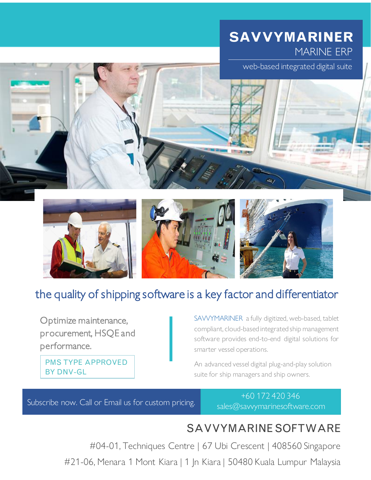## **SAVVYMARINER** MARINE ERP

web-based integrated digital suite









## the quality of shipping software is a key factor and differentiator

Optimize maintenance, procurement, HSQE and performance.

PMS TYPE APPROVED BY DNV-GL

SAVVYMARINER a fully digitized, web-based, tablet compliant, cloud-based integrated ship management software provides end-to-end digital solutions for smarter vessel operations.

An advanced vessel digital plug-and-play solution suite for ship managers and ship owners.

Subscribe now. Call or Email us for custom pricing.

+60 172 420 346 sales@savvymarinesoftware.com

## SAVVYMARINESOFTWARE

#04-01, Techniques Centre | 67 Ubi Crescent | 408560 Singapore

#21-06, Menara 1 Mont Kiara | 1 Jn Kiara | 50480 Kuala Lumpur Malaysia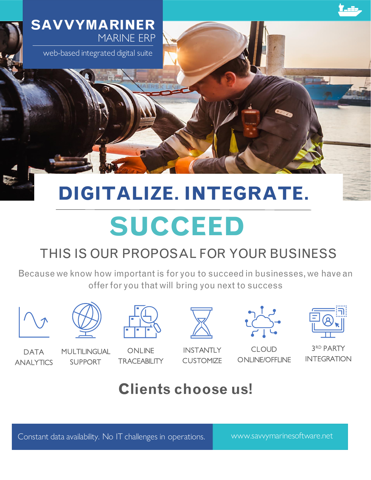

web-based integrated digital suite

# **DIGITALIZE. INTEGRATE.**

# **SUCCEED**

## THIS IS OUR PROPOSAL FOR YOUR BUSINESS

Because we know how important is for you to succeed in businesses, we have an offer for you that will bring you next to success





**DATA** ANALYTICS

MULTILINGUAL

SUPPORT

**ONLINE TRACEABILITY** 



**INSTANTLY CUSTOMIZE** 



CLOUD ONLINE/OFFLINE

| <br>۰<br>ī<br>ł<br>í<br>Ξ                            |
|------------------------------------------------------|
| Ē<br>۰<br>۰<br>۰<br>۰<br>ь<br><b>Service Service</b> |
|                                                      |
|                                                      |

3 RD PARTY INTEGRATION

## **Clients choose us!**

Constant data availability. No IT challenges in operations. Www.savvymarinesoftware.net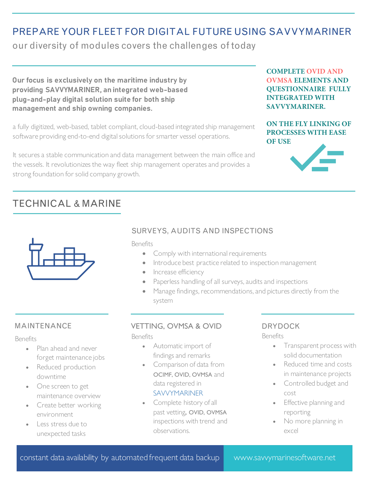## PREPARE YOUR FLEET FOR DIGITAL FUTURE USING SAVVYMARINER

our diversity of modules covers the challenges of today

**Our focus is exclusively on the maritime industry by providing SAVVYMARINER, an integrated web-based plug-and-play digital solution suite for both ship management and ship owning companies.**

a fully digitized, web-based, tablet compliant, cloud-based integrated ship management software providing end-to-end digital solutions for smarter vessel operations.

It secures a stable communication and data management between the main office and the vessels. It revolutionizes the way fleet ship management operates and provides a strong foundation for solid company growth.

**COMPLETE OVID AND OVMSA ELEMENTS AND QUESTIONNAIRE FULLY INTEGRATED WITH SAVVYMARINER.**

#### **ON THE FLY LINKING OF PROCESSES WITH EASE OF USE**



## TECHNICAL & MARINE



#### SURVEYS, AUDITS AND INSPECTIONS

Benefits

- Comply with international requirements
- Introduce best practice related to inspection management
- Increase efficiency
- Paperless handling of all surveys, audits and inspections
- Manage findings, recommendations, and pictures directly from the system

#### MAINTENANCE

#### Benefits

- Plan ahead and never forget maintenance jobs
- Reduced production downtime
- One screen to get maintenance overview
- Create better working environment
- Less stress due to unexpected tasks

#### VETTING, OVMSA & OVID

Benefits

- Automatic import of findings and remarks
- Comparison of data from OCIMF, OVID, OVMSA and data registered in SAVVYMARINER
- Complete history of all past vetting, OVID, OVMSA inspections with trend and observations.

## DRYDOCK

- Transparent process with solid documentation
- Reduced time and costs in maintenance projects
- Controlled budget and cost
- Effective planning and reporting
- No more planning in excel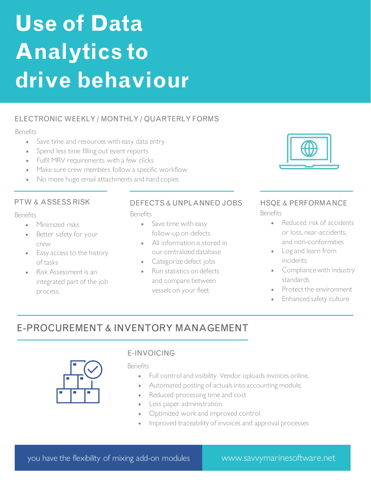# **Use of Data Analytics to drive behaviour**

#### ELECTRONIC WEEKLY / MONTHLY / QUARTERLY FORMS

#### Benefits

- Save time and resources with easy data entry
- Spend less time filling out event reports
- Fulfil MRV requirements with a few clicks
- Make sure crew members follow a specific workflow
- No more huge email attachments and hard copies

#### PTW & ASSESS RISK

#### Benefits

- Minimized risks
- Better safety for your crew
- Easy access to the history of tasks
- Risk Assessment is an integrated part of the job process.

#### DEFECTS & UNPLANNED JOBS

**Benefits** 

- Save time with easy follow-up on defects
- All information is stored in our centralized database
- Categorize defect jobs
- Run statistics on defects and compare between vessels on your fleet.



#### HSQE & PERFORMANCE Benefits

- Reduced risk of accidents or loss, near-accidents, and non-conformities
- Log and learn from incidents
- Compliance with industry standards
- Protect the environment
- Enhanced safety culture

## E-PROCUREMENT & INVENTORY MANAGEMENT



#### E-INVOICING

- Full control and visibility. Vendor uploads invoices online.
- Automated posting of actuals into accounting module.
- Reduced processing time and cost
- Less paper administration
- Optimized work and improved control
- Improved traceability of invoices and approval processes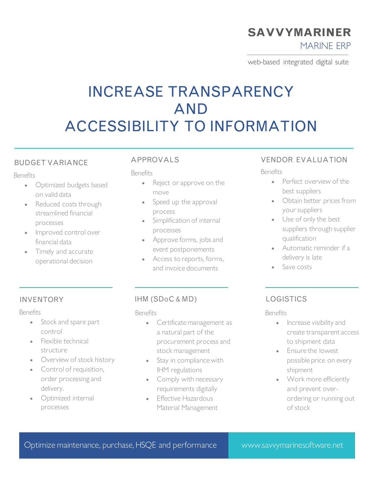## **SAVVYMARINER**

MARINE ERP

web-based integrated digital suite

## INCREASE TRANSPARENCY AND ACCESSIBILITY TO INFORMATION

#### BUDGET VARIANCE

#### **Benefits**

- Optimized budgets based on valid data
- Reduced costs through streamlined financial processes
- Improved control over financial data
- Timely and accurate operational decision

#### APPROVALS

#### Benefits

- Reject or approve on the move
- Speed up the approval process
- Simplification of internal processes
- Approve forms, jobs and event postponements
- Access to reports, forms, and invoice documents

## VENDOR EVALUATION

#### Benefits

- Perfect overview of the best suppliers
- Obtain better prices from your suppliers
- Use of only the best suppliers through supplier qualification
- Automatic reminder if a delivery is late
- Save costs

#### INVENTORY

#### Benefits

- Stock and spare part control
- Flexible technical structure
- Overview of stock history
- Control of requisition, order processing and delivery.
- Optimized internal processes

#### IHM (SDoC & MD)

#### Benefits

- Certificate management as a natural part of the procurement process and stock management
- Stay in compliance with IHM regulations
- Comply with necessary requirements digitally
- Effective Hazardous Material Management

#### LOGISTICS

- Increase visibility and create transparent access to shipment data
- Ensure the lowest possible price on every shipment
- Work more efficiently and prevent overordering or running out of stock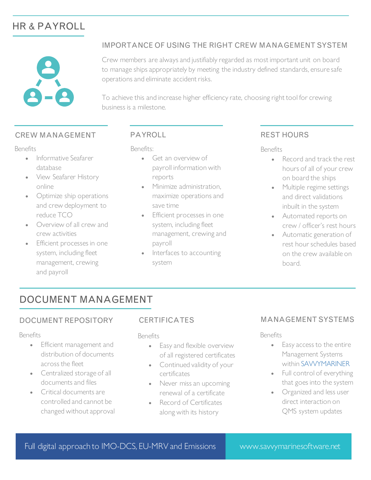## HR & PAYROLL



#### IMPORTANCE OF USING THE RIGHT CREW MANAGEMENT SYSTEM

Crew members are always and justifiably regarded as most important unit on board to manage ships appropriately by meeting the industry defined standards, ensure safe operations and eliminate accident risks.

To achieve this and increase higher efficiency rate, choosing right tool for crewing business is a milestone.

#### CREW MANAGEMENT

#### Benefits

- Informative Seafarer database
- View Seafarer History online
- Optimize ship operations and crew deployment to reduce TCO
- Overview of all crew and crew activities
- Efficient processes in one system, including fleet management, crewing and payroll

#### PAYROLL

Benefits:

- Get an overview of payroll information with reports
- Minimize administration, maximize operations and save time
- Efficient processes in one system, including fleet management, crewing and payroll
- Interfaces to accounting system

#### REST HOURS

Benefits

- Record and track the rest hours of all of your crew on board the ships
- Multiple regime settings and direct validations inbuilt in the system
- Automated reports on crew / officer's rest hours
- Automatic generation of rest hour schedules based on the crew available on board.

### DOCUMENT MANAGEMENT

#### DOCUMENT REPOSITORY

#### Benefits

- Efficient management and distribution of documents across the fleet
- Centralized storage of all documents and files
- Critical documents are controlled and cannot be changed without approval

#### **CERTIFICATES**

#### Benefits

- Easy and flexible overview of all registered certificates
- Continued validity of your certificates
- Never miss an upcoming renewal of a certificate
- Record of Certificates along with its history

#### MANAGEMENT SYSTEMS

- Easy access to the entire Management Systems within SAVVYMARINER
- Full control of everything that goes into the system
- Organized and less user direct interaction on QMS system updates